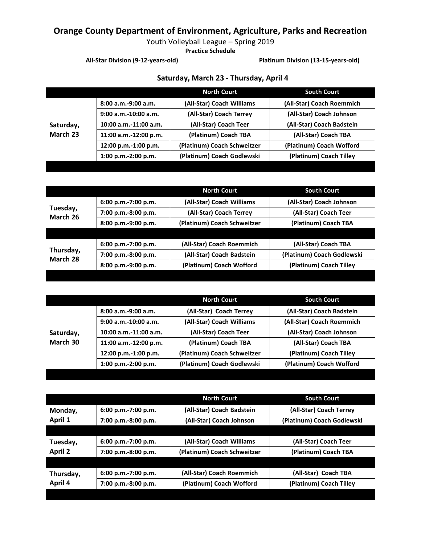Youth Volleyball League – Spring 2019

**Practice Schedule**

**All-Star Division (9-12-years-old) Platinum Division (13-15-years-old)**

|           |                         | <b>North Court</b>          | <b>South Court</b>        |
|-----------|-------------------------|-----------------------------|---------------------------|
|           | $8:00$ a.m.-9:00 a.m.   | (All-Star) Coach Williams   | (All-Star) Coach Roemmich |
|           | $9:00$ a.m.-10:00 a.m.  | (All-Star) Coach Terrey     | (All-Star) Coach Johnson  |
| Saturday, | $10:00$ a.m.-11:00 a.m. | (All-Star) Coach Teer       | (All-Star) Coach Badstein |
| March 23  | 11:00 a.m.-12:00 p.m.   | (Platinum) Coach TBA        | (All-Star) Coach TBA      |
|           | 12:00 p.m.-1:00 p.m.    | (Platinum) Coach Schweitzer | (Platinum) Coach Wofford  |
|           | $1:00$ p.m.-2:00 p.m.   | (Platinum) Coach Godlewski  | (Platinum) Coach Tilley   |

#### **Saturday, March 23 - Thursday, April 4**

|                       |                       | <b>North Court</b>          | <b>South Court</b>         |
|-----------------------|-----------------------|-----------------------------|----------------------------|
|                       | $6:00 p.m.-7:00 p.m.$ | (All-Star) Coach Williams   | (All-Star) Coach Johnson   |
| Tuesday,<br>March 26  | 7:00 p.m.-8:00 p.m.   | (All-Star) Coach Terrey     | (All-Star) Coach Teer      |
|                       | 8:00 p.m.-9:00 p.m.   | (Platinum) Coach Schweitzer | (Platinum) Coach TBA       |
|                       |                       |                             |                            |
| Thursday,<br>March 28 | $6:00 p.m.-7:00 p.m.$ | (All-Star) Coach Roemmich   | (All-Star) Coach TBA       |
|                       | 7:00 p.m.-8:00 p.m.   | (All-Star) Coach Badstein   | (Platinum) Coach Godlewski |
|                       | 8:00 p.m.-9:00 p.m.   | (Platinum) Coach Wofford    | (Platinum) Coach Tilley    |
|                       |                       |                             |                            |

|                       |                         | <b>North Court</b>          | <b>South Court</b>        |
|-----------------------|-------------------------|-----------------------------|---------------------------|
| Saturday,<br>March 30 | $8:00$ a.m.-9:00 a.m.   | (All-Star) Coach Terrey     | (All-Star) Coach Badstein |
|                       | $9:00$ a.m.-10:00 a.m.  | (All-Star) Coach Williams   | (All-Star) Coach Roemmich |
|                       | $10:00$ a.m.-11:00 a.m. | (All-Star) Coach Teer       | (All-Star) Coach Johnson  |
|                       | 11:00 a.m.-12:00 p.m.   | (Platinum) Coach TBA        | (All-Star) Coach TBA      |
|                       | 12:00 p.m.-1:00 p.m.    | (Platinum) Coach Schweitzer | (Platinum) Coach Tilley   |
|                       | 1:00 p.m.-2:00 p.m.     | (Platinum) Coach Godlewski  | (Platinum) Coach Wofford  |

|                      |                       | <b>North Court</b>          | <b>South Court</b>         |
|----------------------|-----------------------|-----------------------------|----------------------------|
| Monday,              | 6:00 p.m.-7:00 p.m.   | (All-Star) Coach Badstein   | (All-Star) Coach Terrey    |
| April 1              | 7:00 p.m.-8:00 p.m.   | (All-Star) Coach Johnson    | (Platinum) Coach Godlewski |
|                      |                       |                             |                            |
| Tuesday,             | 6:00 p.m.-7:00 p.m.   | (All-Star) Coach Williams   | (All-Star) Coach Teer      |
| <b>April 2</b>       | 7:00 p.m.-8:00 p.m.   | (Platinum) Coach Schweitzer | (Platinum) Coach TBA       |
|                      |                       |                             |                            |
| Thursday,<br>April 4 | $6:00$ p.m.-7:00 p.m. | (All-Star) Coach Roemmich   | (All-Star) Coach TBA       |
|                      | 7:00 p.m.-8:00 p.m.   | (Platinum) Coach Wofford    | (Platinum) Coach Tilley    |
|                      |                       |                             |                            |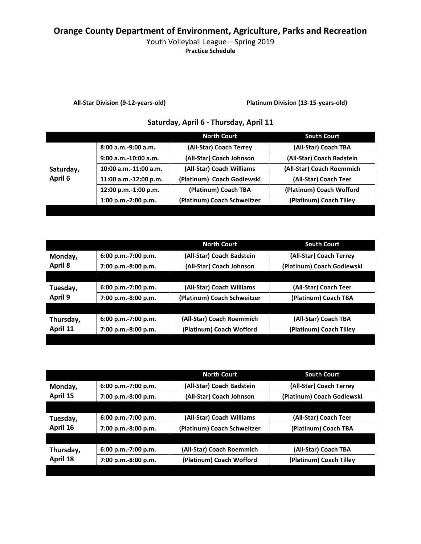### Youth Volleyball League – Spring 2019

**Practice Schedule**

**All-Star Division (9-12-years-old) Platinum Division (13-15-years-old)**

#### **Saturday, April 6 - Thursday, April 11**

|           |                         | North Court                 | <b>South Court</b>        |
|-----------|-------------------------|-----------------------------|---------------------------|
|           | $8:00$ a.m.-9:00 a.m.   | (All-Star) Coach Terrey     | (All-Star) Coach TBA      |
|           | $9:00$ a.m.-10:00 a.m.  | (All-Star) Coach Johnson    | (All-Star) Coach Badstein |
| Saturday, | $10:00$ a.m.-11:00 a.m. | (All-Star) Coach Williams   | (All-Star) Coach Roemmich |
| April 6   | 11:00 a.m.-12:00 p.m.   | (Platinum) Coach Godlewski  | (All-Star) Coach Teer     |
|           | 12:00 p.m.-1:00 p.m.    | (Platinum) Coach TBA        | (Platinum) Coach Wofford  |
|           | 1:00 p.m.-2:00 p.m.     | (Platinum) Coach Schweitzer | (Platinum) Coach Tilley   |
|           |                         |                             |                           |

|           |                       | <b>North Court</b>          | <b>South Court</b>         |
|-----------|-----------------------|-----------------------------|----------------------------|
| Monday,   | $6:00 p.m.-7:00 p.m.$ | (All-Star) Coach Badstein   | (All-Star) Coach Terrey    |
| April 8   | 7:00 p.m.-8:00 p.m.   | (All-Star) Coach Johnson    | (Platinum) Coach Godlewski |
|           |                       |                             |                            |
| Tuesday,  | $6:00 p.m.-7:00 p.m.$ | (All-Star) Coach Williams   | (All-Star) Coach Teer      |
| April 9   | 7:00 p.m.-8:00 p.m.   | (Platinum) Coach Schweitzer | (Platinum) Coach TBA       |
|           |                       |                             |                            |
| Thursday, | $6:00 p.m.-7:00 p.m.$ | (All-Star) Coach Roemmich   | (All-Star) Coach TBA       |
| April 11  | 7:00 p.m.-8:00 p.m.   | (Platinum) Coach Wofford    | (Platinum) Coach Tilley    |
|           |                       |                             |                            |

|                       |                       | <b>North Court</b>          | <b>South Court</b>         |
|-----------------------|-----------------------|-----------------------------|----------------------------|
| Monday,               | 6:00 p.m.-7:00 p.m.   | (All-Star) Coach Badstein   | (All-Star) Coach Terrey    |
| April 15              | 7:00 p.m.-8:00 p.m.   | (All-Star) Coach Johnson    | (Platinum) Coach Godlewski |
|                       |                       |                             |                            |
| Tuesday,              | $6:00 p.m.-7:00 p.m.$ | (All-Star) Coach Williams   | (All-Star) Coach Teer      |
| April 16              | 7:00 p.m.-8:00 p.m.   | (Platinum) Coach Schweitzer | (Platinum) Coach TBA       |
|                       |                       |                             |                            |
| Thursday,<br>April 18 | $6:00 p.m.-7:00 p.m.$ | (All-Star) Coach Roemmich   | (All-Star) Coach TBA       |
|                       | 7:00 p.m.-8:00 p.m.   | (Platinum) Coach Wofford    | (Platinum) Coach Tilley    |
|                       |                       |                             |                            |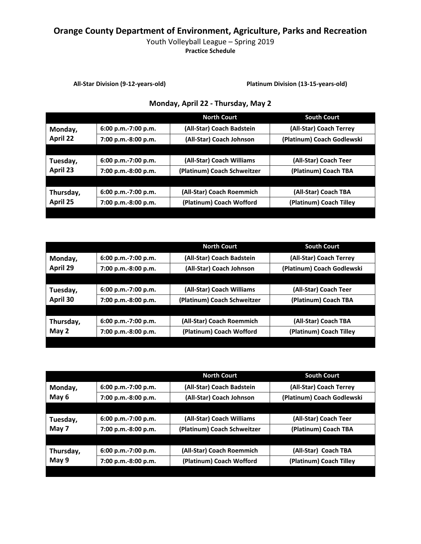### Youth Volleyball League – Spring 2019

**Practice Schedule**

**All-Star Division (9-12-years-old) Platinum Division (13-15-years-old)**

### **Monday, April 22 - Thursday, May 2**

|                       |                       | <b>North Court</b>          | <b>South Court</b>         |
|-----------------------|-----------------------|-----------------------------|----------------------------|
| Monday,               | $6:00 p.m.-7:00 p.m.$ | (All-Star) Coach Badstein   | (All-Star) Coach Terrey    |
| <b>April 22</b>       | 7:00 p.m.-8:00 p.m.   | (All-Star) Coach Johnson    | (Platinum) Coach Godlewski |
|                       |                       |                             |                            |
| Tuesday,              | $6:00 p.m.-7:00 p.m.$ | (All-Star) Coach Williams   | (All-Star) Coach Teer      |
| April 23              | 7:00 p.m.-8:00 p.m.   | (Platinum) Coach Schweitzer | (Platinum) Coach TBA       |
|                       |                       |                             |                            |
| Thursday,<br>April 25 | $6:00 p.m.-7:00 p.m.$ | (All-Star) Coach Roemmich   | (All-Star) Coach TBA       |
|                       | 7:00 p.m.-8:00 p.m.   | (Platinum) Coach Wofford    | (Platinum) Coach Tilley    |
|                       |                       |                             |                            |

|           |                       | <b>North Court</b>          | <b>South Court</b>         |
|-----------|-----------------------|-----------------------------|----------------------------|
| Monday,   | 6:00 p.m.-7:00 p.m.   | (All-Star) Coach Badstein   | (All-Star) Coach Terrey    |
| April 29  | 7:00 p.m.-8:00 p.m.   | (All-Star) Coach Johnson    | (Platinum) Coach Godlewski |
|           |                       |                             |                            |
| Tuesday,  | 6:00 p.m.-7:00 p.m.   | (All-Star) Coach Williams   | (All-Star) Coach Teer      |
| April 30  | 7:00 p.m.-8:00 p.m.   | (Platinum) Coach Schweitzer | (Platinum) Coach TBA       |
|           |                       |                             |                            |
| Thursday, | $6:00 p.m.-7:00 p.m.$ | (All-Star) Coach Roemmich   | (All-Star) Coach TBA       |
| May $2$   | 7:00 p.m.-8:00 p.m.   | (Platinum) Coach Wofford    | (Platinum) Coach Tilley    |
|           |                       |                             |                            |

|           |                       | <b>North Court</b>          | <b>South Court</b>         |
|-----------|-----------------------|-----------------------------|----------------------------|
| Monday,   | 6:00 p.m.-7:00 p.m.   | (All-Star) Coach Badstein   | (All-Star) Coach Terrey    |
| May 6     | 7:00 p.m.-8:00 p.m.   | (All-Star) Coach Johnson    | (Platinum) Coach Godlewski |
|           |                       |                             |                            |
| Tuesday,  | $6:00 p.m.-7:00 p.m.$ | (All-Star) Coach Williams   | (All-Star) Coach Teer      |
| May 7     | 7:00 p.m.-8:00 p.m.   | (Platinum) Coach Schweitzer | (Platinum) Coach TBA       |
|           |                       |                             |                            |
| Thursday, | $6:00 p.m.-7:00 p.m.$ | (All-Star) Coach Roemmich   | (All-Star) Coach TBA       |
| May 9     | 7:00 p.m.-8:00 p.m.   | (Platinum) Coach Wofford    | (Platinum) Coach Tilley    |
|           |                       |                             |                            |